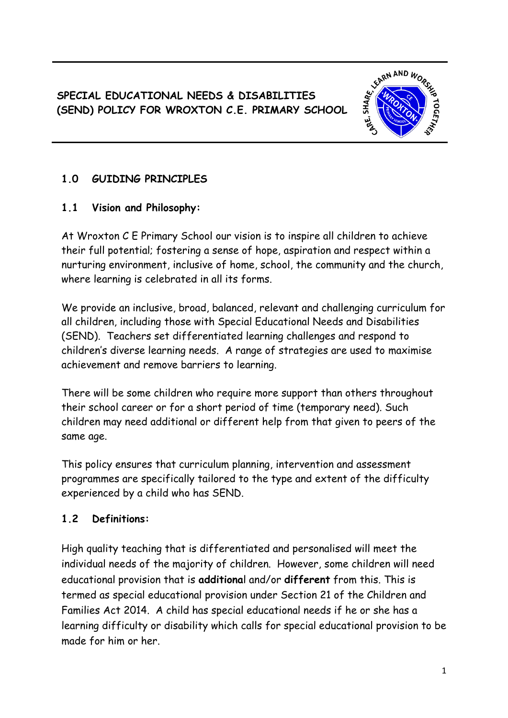**SPECIAL EDUCATIONAL NEEDS & DISABILITIES (SEND) POLICY FOR WROXTON C.E. PRIMARY SCHOOL**



## **1.0 GUIDING PRINCIPLES**

#### **1.1 Vision and Philosophy:**

At Wroxton C E Primary School our vision is to inspire all children to achieve their full potential; fostering a sense of hope, aspiration and respect within a nurturing environment, inclusive of home, school, the community and the church, where learning is celebrated in all its forms.

We provide an inclusive, broad, balanced, relevant and challenging curriculum for all children, including those with Special Educational Needs and Disabilities (SEND). Teachers set differentiated learning challenges and respond to children's diverse learning needs. A range of strategies are used to maximise achievement and remove barriers to learning.

There will be some children who require more support than others throughout their school career or for a short period of time (temporary need). Such children may need additional or different help from that given to peers of the same age.

This policy ensures that curriculum planning, intervention and assessment programmes are specifically tailored to the type and extent of the difficulty experienced by a child who has SEND.

#### **1.2 Definitions:**

High quality teaching that is differentiated and personalised will meet the individual needs of the majority of children. However, some children will need educational provision that is **additiona**l and/or **different** from this. This is termed as special educational provision under Section 21 of the Children and Families Act 2014. A child has special educational needs if he or she has a learning difficulty or disability which calls for special educational provision to be made for him or her.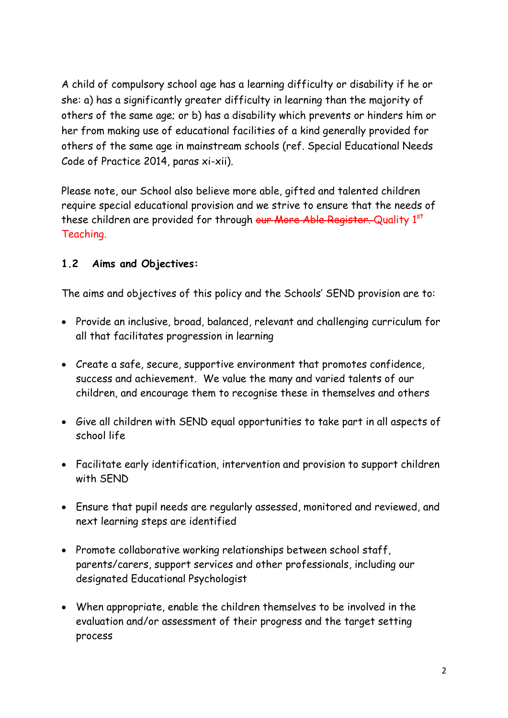A child of compulsory school age has a learning difficulty or disability if he or she: a) has a significantly greater difficulty in learning than the majority of others of the same age; or b) has a disability which prevents or hinders him or her from making use of educational facilities of a kind generally provided for others of the same age in mainstream schools (ref. Special Educational Needs Code of Practice 2014, paras xi-xii).

Please note, our School also believe more able, gifted and talented children require special educational provision and we strive to ensure that the needs of these children are provided for through our More Able Register. Quality 1st Teaching.

#### **1.2 Aims and Objectives:**

The aims and objectives of this policy and the Schools' SEND provision are to:

- Provide an inclusive, broad, balanced, relevant and challenging curriculum for all that facilitates progression in learning
- Create a safe, secure, supportive environment that promotes confidence, success and achievement. We value the many and varied talents of our children, and encourage them to recognise these in themselves and others
- Give all children with SEND equal opportunities to take part in all aspects of school life
- Facilitate early identification, intervention and provision to support children with SEND
- Ensure that pupil needs are regularly assessed, monitored and reviewed, and next learning steps are identified
- Promote collaborative working relationships between school staff, parents/carers, support services and other professionals, including our designated Educational Psychologist
- When appropriate, enable the children themselves to be involved in the evaluation and/or assessment of their progress and the target setting process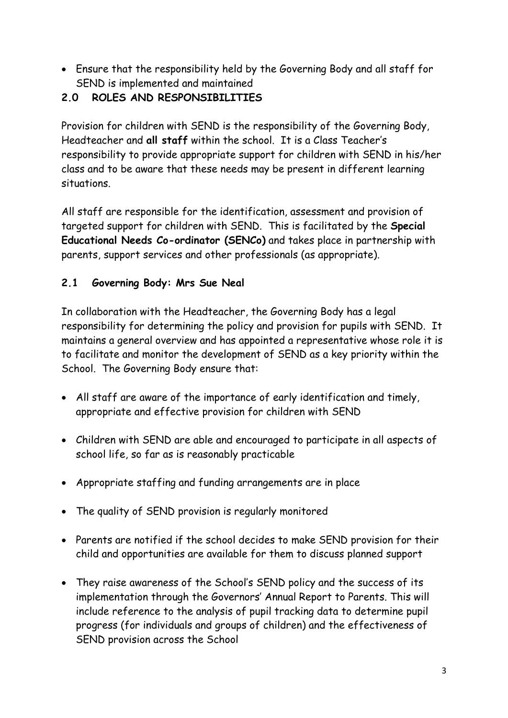- Ensure that the responsibility held by the Governing Body and all staff for SEND is implemented and maintained
- **2.0 ROLES AND RESPONSIBILITIES**

Provision for children with SEND is the responsibility of the Governing Body, Headteacher and **all staff** within the school. It is a Class Teacher's responsibility to provide appropriate support for children with SEND in his/her class and to be aware that these needs may be present in different learning situations.

All staff are responsible for the identification, assessment and provision of targeted support for children with SEND. This is facilitated by the **Special Educational Needs Co-ordinator (SENCo)** and takes place in partnership with parents, support services and other professionals (as appropriate).

## **2.1 Governing Body: Mrs Sue Neal**

In collaboration with the Headteacher, the Governing Body has a legal responsibility for determining the policy and provision for pupils with SEND. It maintains a general overview and has appointed a representative whose role it is to facilitate and monitor the development of SEND as a key priority within the School. The Governing Body ensure that:

- All staff are aware of the importance of early identification and timely, appropriate and effective provision for children with SEND
- Children with SEND are able and encouraged to participate in all aspects of school life, so far as is reasonably practicable
- Appropriate staffing and funding arrangements are in place
- The quality of SEND provision is regularly monitored
- Parents are notified if the school decides to make SEND provision for their child and opportunities are available for them to discuss planned support
- They raise awareness of the School's SEND policy and the success of its implementation through the Governors' Annual Report to Parents. This will include reference to the analysis of pupil tracking data to determine pupil progress (for individuals and groups of children) and the effectiveness of SEND provision across the School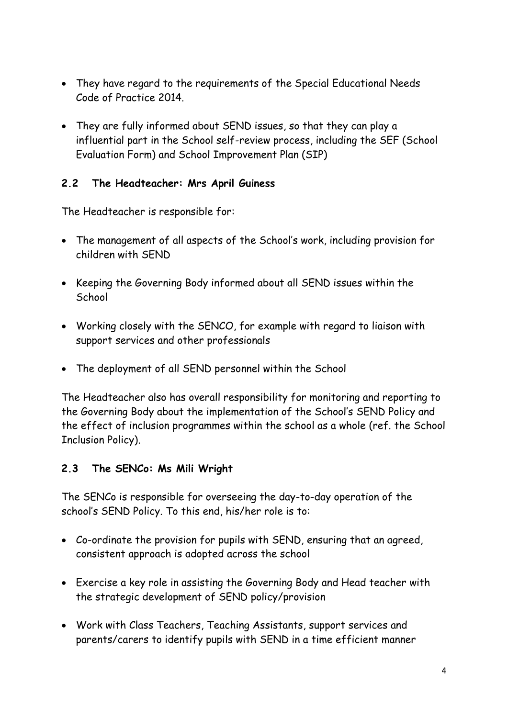- They have regard to the requirements of the Special Educational Needs Code of Practice 2014.
- They are fully informed about SEND issues, so that they can play a influential part in the School self-review process, including the SEF (School Evaluation Form) and School Improvement Plan (SIP)

### **2.2 The Headteacher: Mrs April Guiness**

The Headteacher is responsible for:

- The management of all aspects of the School's work, including provision for children with SEND
- Keeping the Governing Body informed about all SEND issues within the **School**
- Working closely with the SENCO, for example with regard to liaison with support services and other professionals
- The deployment of all SEND personnel within the School

The Headteacher also has overall responsibility for monitoring and reporting to the Governing Body about the implementation of the School's SEND Policy and the effect of inclusion programmes within the school as a whole (ref. the School Inclusion Policy).

#### **2.3 The SENCo: Ms Mili Wright**

The SENCo is responsible for overseeing the day-to-day operation of the school's SEND Policy. To this end, his/her role is to:

- Co-ordinate the provision for pupils with SEND, ensuring that an agreed, consistent approach is adopted across the school
- Exercise a key role in assisting the Governing Body and Head teacher with the strategic development of SEND policy/provision
- Work with Class Teachers, Teaching Assistants, support services and parents/carers to identify pupils with SEND in a time efficient manner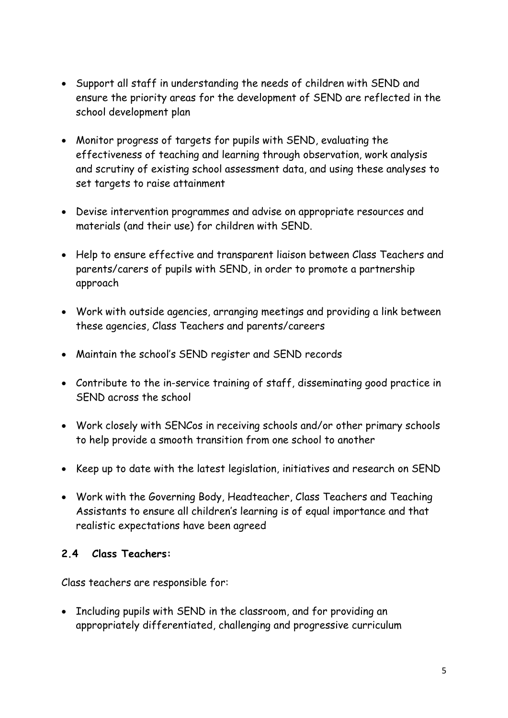- Support all staff in understanding the needs of children with SEND and ensure the priority areas for the development of SEND are reflected in the school development plan
- Monitor progress of targets for pupils with SEND, evaluating the effectiveness of teaching and learning through observation, work analysis and scrutiny of existing school assessment data, and using these analyses to set targets to raise attainment
- Devise intervention programmes and advise on appropriate resources and materials (and their use) for children with SEND.
- Help to ensure effective and transparent liaison between Class Teachers and parents/carers of pupils with SEND, in order to promote a partnership approach
- Work with outside agencies, arranging meetings and providing a link between these agencies, Class Teachers and parents/careers
- Maintain the school's SEND register and SEND records
- Contribute to the in-service training of staff, disseminating good practice in SEND across the school
- Work closely with SENCos in receiving schools and/or other primary schools to help provide a smooth transition from one school to another
- Keep up to date with the latest legislation, initiatives and research on SEND
- Work with the Governing Body, Headteacher, Class Teachers and Teaching Assistants to ensure all children's learning is of equal importance and that realistic expectations have been agreed

#### **2.4 Class Teachers:**

Class teachers are responsible for:

• Including pupils with SEND in the classroom, and for providing an appropriately differentiated, challenging and progressive curriculum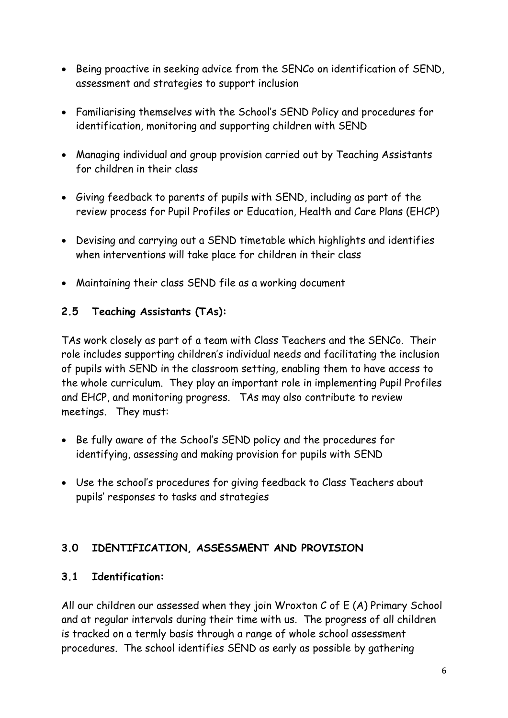- Being proactive in seeking advice from the SENCo on identification of SEND, assessment and strategies to support inclusion
- Familiarising themselves with the School's SEND Policy and procedures for identification, monitoring and supporting children with SEND
- Managing individual and group provision carried out by Teaching Assistants for children in their class
- Giving feedback to parents of pupils with SEND, including as part of the review process for Pupil Profiles or Education, Health and Care Plans (EHCP)
- Devising and carrying out a SEND timetable which highlights and identifies when interventions will take place for children in their class
- Maintaining their class SEND file as a working document

#### **2.5 Teaching Assistants (TAs):**

TAs work closely as part of a team with Class Teachers and the SENCo. Their role includes supporting children's individual needs and facilitating the inclusion of pupils with SEND in the classroom setting, enabling them to have access to the whole curriculum. They play an important role in implementing Pupil Profiles and EHCP, and monitoring progress. TAs may also contribute to review meetings. They must:

- Be fully aware of the School's SEND policy and the procedures for identifying, assessing and making provision for pupils with SEND
- Use the school's procedures for giving feedback to Class Teachers about pupils' responses to tasks and strategies

## **3.0 IDENTIFICATION, ASSESSMENT AND PROVISION**

#### **3.1 Identification:**

All our children our assessed when they join Wroxton C of E (A) Primary School and at regular intervals during their time with us. The progress of all children is tracked on a termly basis through a range of whole school assessment procedures. The school identifies SEND as early as possible by gathering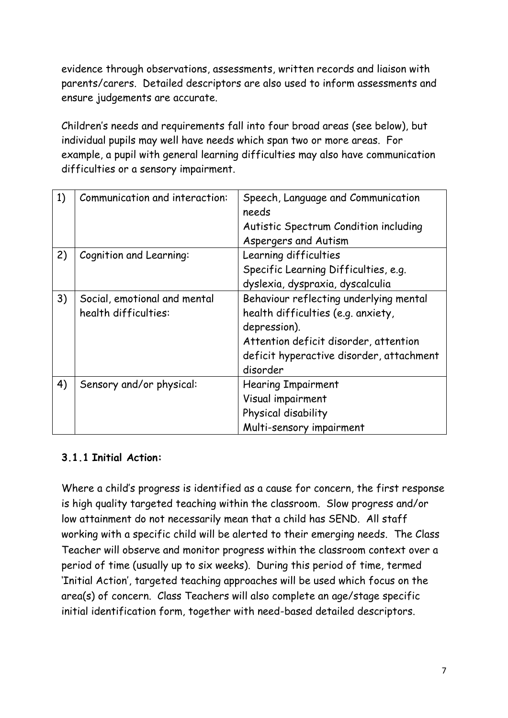evidence through observations, assessments, written records and liaison with parents/carers. Detailed descriptors are also used to inform assessments and ensure judgements are accurate.

Children's needs and requirements fall into four broad areas (see below), but individual pupils may well have needs which span two or more areas. For example, a pupil with general learning difficulties may also have communication difficulties or a sensory impairment.

| 1) | Communication and interaction:                       | Speech, Language and Communication<br>needs<br>Autistic Spectrum Condition including                                                                                                          |
|----|------------------------------------------------------|-----------------------------------------------------------------------------------------------------------------------------------------------------------------------------------------------|
| 2) | Cognition and Learning:                              | Aspergers and Autism<br>Learning difficulties                                                                                                                                                 |
|    |                                                      | Specific Learning Difficulties, e.g.<br>dyslexia, dyspraxia, dyscalculia                                                                                                                      |
| 3) | Social, emotional and mental<br>health difficulties: | Behaviour reflecting underlying mental<br>health difficulties (e.g. anxiety,<br>depression).<br>Attention deficit disorder, attention<br>deficit hyperactive disorder, attachment<br>disorder |
| 4) | Sensory and/or physical:                             | <b>Hearing Impairment</b><br>Visual impairment<br>Physical disability<br>Multi-sensory impairment                                                                                             |

## **3.1.1 Initial Action:**

Where a child's progress is identified as a cause for concern, the first response is high quality targeted teaching within the classroom. Slow progress and/or low attainment do not necessarily mean that a child has SEND. All staff working with a specific child will be alerted to their emerging needs. The Class Teacher will observe and monitor progress within the classroom context over a period of time (usually up to six weeks). During this period of time, termed 'Initial Action', targeted teaching approaches will be used which focus on the area(s) of concern. Class Teachers will also complete an age/stage specific initial identification form, together with need-based detailed descriptors.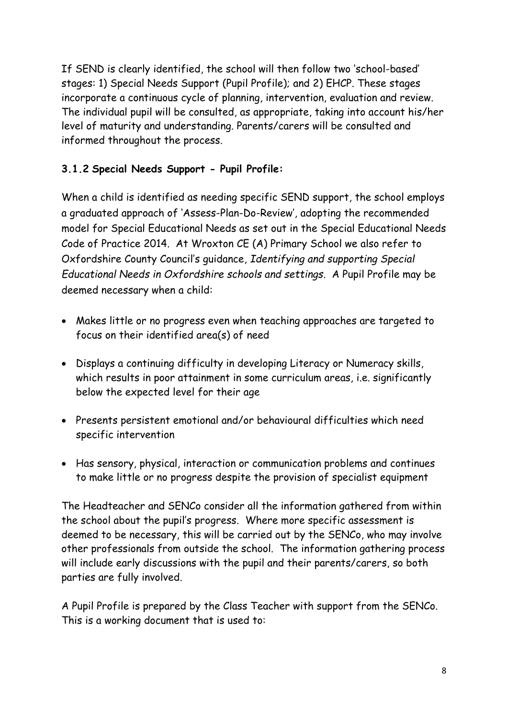If SEND is clearly identified, the school will then follow two 'school-based' stages: 1) Special Needs Support (Pupil Profile); and 2) EHCP. These stages incorporate a continuous cycle of planning, intervention, evaluation and review. The individual pupil will be consulted, as appropriate, taking into account his/her level of maturity and understanding. Parents/carers will be consulted and informed throughout the process.

## **3.1.2 Special Needs Support - Pupil Profile:**

When a child is identified as needing specific SEND support, the school employs a graduated approach of 'Assess-Plan-Do-Review', adopting the recommended model for Special Educational Needs as set out in the Special Educational Needs Code of Practice 2014. At Wroxton CE (A) Primary School we also refer to Oxfordshire County Council's guidance, *Identifying and supporting Special Educational Needs in Oxfordshire schools and settings*. A Pupil Profile may be deemed necessary when a child:

- Makes little or no progress even when teaching approaches are targeted to focus on their identified area(s) of need
- Displays a continuing difficulty in developing Literacy or Numeracy skills, which results in poor attainment in some curriculum areas, i.e. significantly below the expected level for their age
- Presents persistent emotional and/or behavioural difficulties which need specific intervention
- Has sensory, physical, interaction or communication problems and continues to make little or no progress despite the provision of specialist equipment

The Headteacher and SENCo consider all the information gathered from within the school about the pupil's progress. Where more specific assessment is deemed to be necessary, this will be carried out by the SENCo, who may involve other professionals from outside the school. The information gathering process will include early discussions with the pupil and their parents/carers, so both parties are fully involved.

A Pupil Profile is prepared by the Class Teacher with support from the SENCo. This is a working document that is used to: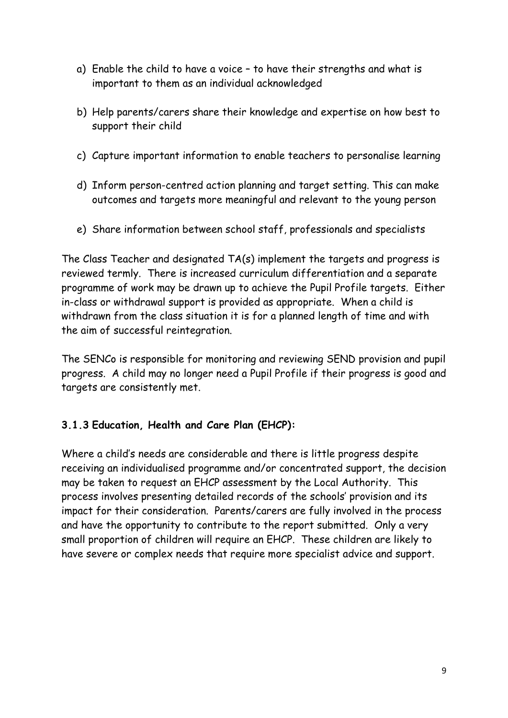- a) Enable the child to have a voice to have their strengths and what is important to them as an individual acknowledged
- b) Help parents/carers share their knowledge and expertise on how best to support their child
- c) Capture important information to enable teachers to personalise learning
- d) Inform person-centred action planning and target setting. This can make outcomes and targets more meaningful and relevant to the young person
- e) Share information between school staff, professionals and specialists

The Class Teacher and designated TA(s) implement the targets and progress is reviewed termly. There is increased curriculum differentiation and a separate programme of work may be drawn up to achieve the Pupil Profile targets. Either in-class or withdrawal support is provided as appropriate. When a child is withdrawn from the class situation it is for a planned length of time and with the aim of successful reintegration.

The SENCo is responsible for monitoring and reviewing SEND provision and pupil progress. A child may no longer need a Pupil Profile if their progress is good and targets are consistently met.

#### **3.1.3 Education, Health and Care Plan (EHCP):**

Where a child's needs are considerable and there is little progress despite receiving an individualised programme and/or concentrated support, the decision may be taken to request an EHCP assessment by the Local Authority. This process involves presenting detailed records of the schools' provision and its impact for their consideration. Parents/carers are fully involved in the process and have the opportunity to contribute to the report submitted. Only a very small proportion of children will require an EHCP. These children are likely to have severe or complex needs that require more specialist advice and support.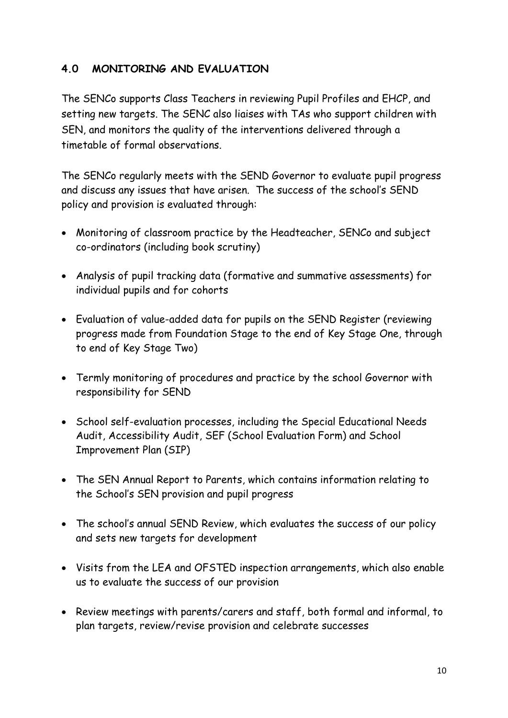### **4.0 MONITORING AND EVALUATION**

The SENCo supports Class Teachers in reviewing Pupil Profiles and EHCP, and setting new targets. The SENC also liaises with TAs who support children with SEN, and monitors the quality of the interventions delivered through a timetable of formal observations.

The SENCo regularly meets with the SEND Governor to evaluate pupil progress and discuss any issues that have arisen. The success of the school's SEND policy and provision is evaluated through:

- Monitoring of classroom practice by the Headteacher, SENCo and subject co-ordinators (including book scrutiny)
- Analysis of pupil tracking data (formative and summative assessments) for individual pupils and for cohorts
- Evaluation of value-added data for pupils on the SEND Register (reviewing progress made from Foundation Stage to the end of Key Stage One, through to end of Key Stage Two)
- Termly monitoring of procedures and practice by the school Governor with responsibility for SEND
- School self-evaluation processes, including the Special Educational Needs Audit, Accessibility Audit, SEF (School Evaluation Form) and School Improvement Plan (SIP)
- The SEN Annual Report to Parents, which contains information relating to the School's SEN provision and pupil progress
- The school's annual SEND Review, which evaluates the success of our policy and sets new targets for development
- Visits from the LEA and OFSTED inspection arrangements, which also enable us to evaluate the success of our provision
- Review meetings with parents/carers and staff, both formal and informal, to plan targets, review/revise provision and celebrate successes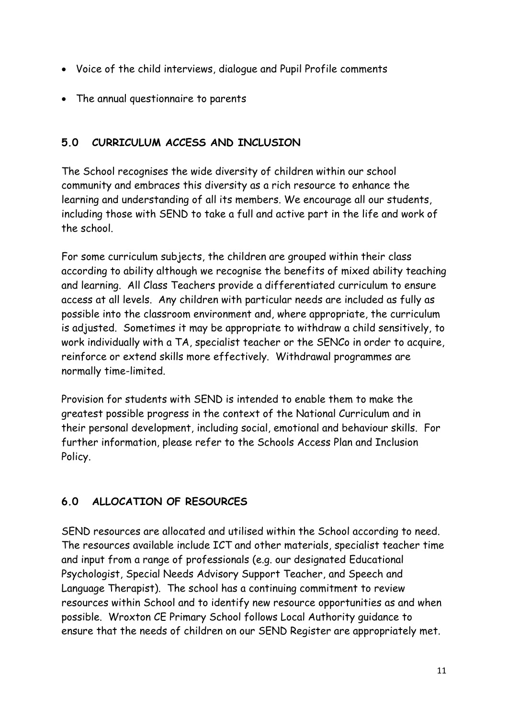- Voice of the child interviews, dialogue and Pupil Profile comments
- The annual questionnaire to parents

## **5.0 CURRICULUM ACCESS AND INCLUSION**

The School recognises the wide diversity of children within our school community and embraces this diversity as a rich resource to enhance the learning and understanding of all its members. We encourage all our students, including those with SEND to take a full and active part in the life and work of the school.

For some curriculum subjects, the children are grouped within their class according to ability although we recognise the benefits of mixed ability teaching and learning. All Class Teachers provide a differentiated curriculum to ensure access at all levels. Any children with particular needs are included as fully as possible into the classroom environment and, where appropriate, the curriculum is adjusted. Sometimes it may be appropriate to withdraw a child sensitively, to work individually with a TA, specialist teacher or the SENCo in order to acquire, reinforce or extend skills more effectively. Withdrawal programmes are normally time-limited.

Provision for students with SEND is intended to enable them to make the greatest possible progress in the context of the National Curriculum and in their personal development, including social, emotional and behaviour skills. For further information, please refer to the Schools Access Plan and Inclusion Policy.

# **6.0 ALLOCATION OF RESOURCES**

SEND resources are allocated and utilised within the School according to need. The resources available include ICT and other materials, specialist teacher time and input from a range of professionals (e.g. our designated Educational Psychologist, Special Needs Advisory Support Teacher, and Speech and Language Therapist). The school has a continuing commitment to review resources within School and to identify new resource opportunities as and when possible. Wroxton CE Primary School follows Local Authority guidance to ensure that the needs of children on our SEND Register are appropriately met.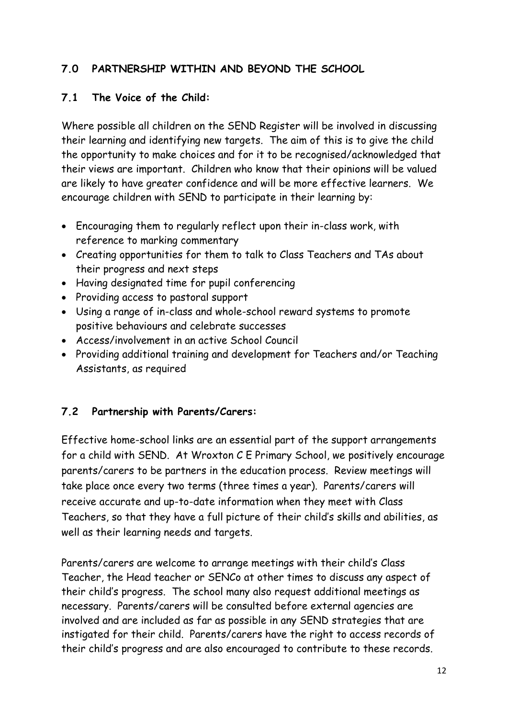## **7.0 PARTNERSHIP WITHIN AND BEYOND THE SCHOOL**

#### **7.1 The Voice of the Child:**

Where possible all children on the SEND Register will be involved in discussing their learning and identifying new targets. The aim of this is to give the child the opportunity to make choices and for it to be recognised/acknowledged that their views are important. Children who know that their opinions will be valued are likely to have greater confidence and will be more effective learners. We encourage children with SEND to participate in their learning by:

- Encouraging them to regularly reflect upon their in-class work, with reference to marking commentary
- Creating opportunities for them to talk to Class Teachers and TAs about their progress and next steps
- Having designated time for pupil conferencing
- Providing access to pastoral support
- Using a range of in-class and whole-school reward systems to promote positive behaviours and celebrate successes
- Access/involvement in an active School Council
- Providing additional training and development for Teachers and/or Teaching Assistants, as required

#### **7.2 Partnership with Parents/Carers:**

Effective home-school links are an essential part of the support arrangements for a child with SEND. At Wroxton C E Primary School, we positively encourage parents/carers to be partners in the education process. Review meetings will take place once every two terms (three times a year). Parents/carers will receive accurate and up-to-date information when they meet with Class Teachers, so that they have a full picture of their child's skills and abilities, as well as their learning needs and targets.

Parents/carers are welcome to arrange meetings with their child's Class Teacher, the Head teacher or SENCo at other times to discuss any aspect of their child's progress. The school many also request additional meetings as necessary. Parents/carers will be consulted before external agencies are involved and are included as far as possible in any SEND strategies that are instigated for their child. Parents/carers have the right to access records of their child's progress and are also encouraged to contribute to these records.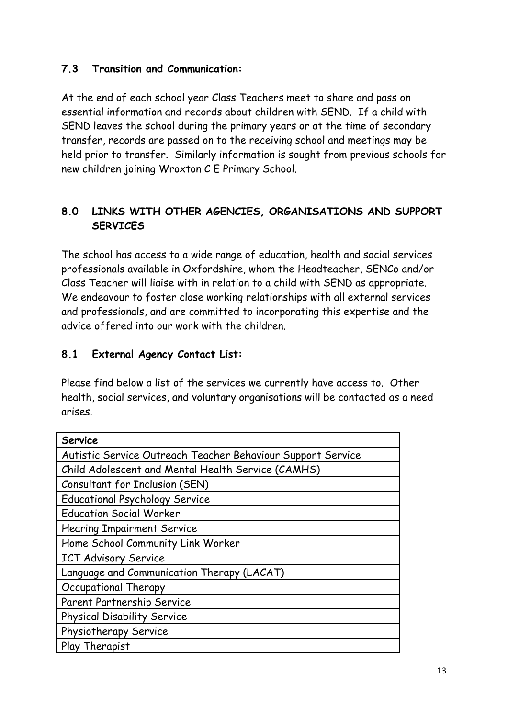#### **7.3 Transition and Communication:**

At the end of each school year Class Teachers meet to share and pass on essential information and records about children with SEND. If a child with SEND leaves the school during the primary years or at the time of secondary transfer, records are passed on to the receiving school and meetings may be held prior to transfer. Similarly information is sought from previous schools for new children joining Wroxton C E Primary School.

## **8.0 LINKS WITH OTHER AGENCIES, ORGANISATIONS AND SUPPORT SERVICES**

The school has access to a wide range of education, health and social services professionals available in Oxfordshire, whom the Headteacher, SENCo and/or Class Teacher will liaise with in relation to a child with SEND as appropriate. We endeavour to foster close working relationships with all external services and professionals, and are committed to incorporating this expertise and the advice offered into our work with the children.

### **8.1 External Agency Contact List:**

Please find below a list of the services we currently have access to. Other health, social services, and voluntary organisations will be contacted as a need arises.

| <b>Service</b>                                              |  |  |
|-------------------------------------------------------------|--|--|
| Autistic Service Outreach Teacher Behaviour Support Service |  |  |
| Child Adolescent and Mental Health Service (CAMHS)          |  |  |
| Consultant for Inclusion (SEN)                              |  |  |
| <b>Educational Psychology Service</b>                       |  |  |
| <b>Education Social Worker</b>                              |  |  |
| <b>Hearing Impairment Service</b>                           |  |  |
| Home School Community Link Worker                           |  |  |
| <b>ICT Advisory Service</b>                                 |  |  |
| Language and Communication Therapy (LACAT)                  |  |  |
| Occupational Therapy                                        |  |  |
| Parent Partnership Service                                  |  |  |
| Physical Disability Service                                 |  |  |
| Physiotherapy Service                                       |  |  |
| Play Therapist                                              |  |  |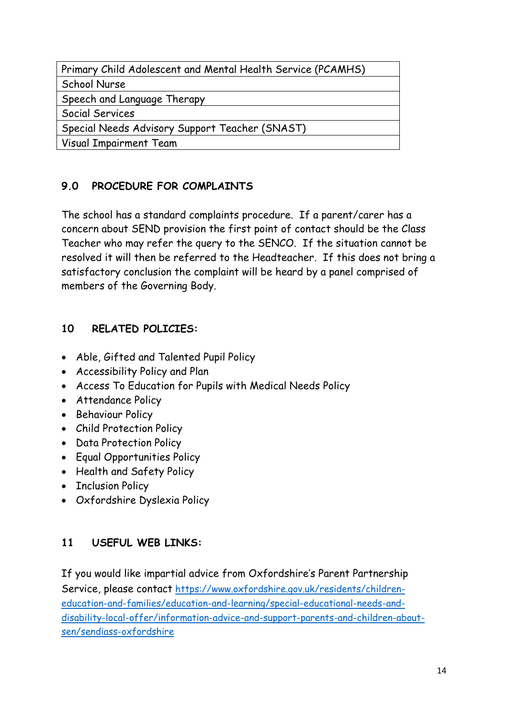| Primary Child Adolescent and Mental Health Service (PCAMHS) |  |  |
|-------------------------------------------------------------|--|--|
| School Nurse                                                |  |  |
| Speech and Language Therapy                                 |  |  |
| Social Services                                             |  |  |
| Special Needs Advisory Support Teacher (SNAST)              |  |  |
| Visual Impairment Team                                      |  |  |
|                                                             |  |  |

## **9.0 PROCEDURE FOR COMPLAINTS**

The school has a standard complaints procedure. If a parent/carer has a concern about SEND provision the first point of contact should be the Class Teacher who may refer the query to the SENCO. If the situation cannot be resolved it will then be referred to the Headteacher. If this does not bring a satisfactory conclusion the complaint will be heard by a panel comprised of members of the Governing Body.

## **10 RELATED POLICIES:**

- Able, Gifted and Talented Pupil Policy
- Accessibility Policy and Plan
- Access To Education for Pupils with Medical Needs Policy
- Attendance Policy
- Behaviour Policy
- Child Protection Policy
- Data Protection Policy
- Equal Opportunities Policy
- Health and Safety Policy
- Inclusion Policy
- Oxfordshire Dyslexia Policy

# **11 USEFUL WEB LINKS:**

If you would like impartial advice from Oxfordshire's Parent Partnership Service, please contact [https://www.oxfordshire.gov.uk/residents/children](https://www.oxfordshire.gov.uk/residents/children-education-and-families/education-and-learning/special-educational-needs-and-disability-local-offer/information-advice-and-support-parents-and-children-about-sen/sendiass-oxfordshire)[education-and-families/education-and-learning/special-educational-needs-and](https://www.oxfordshire.gov.uk/residents/children-education-and-families/education-and-learning/special-educational-needs-and-disability-local-offer/information-advice-and-support-parents-and-children-about-sen/sendiass-oxfordshire)[disability-local-offer/information-advice-and-support-parents-and-children-about](https://www.oxfordshire.gov.uk/residents/children-education-and-families/education-and-learning/special-educational-needs-and-disability-local-offer/information-advice-and-support-parents-and-children-about-sen/sendiass-oxfordshire)[sen/sendiass-oxfordshire](https://www.oxfordshire.gov.uk/residents/children-education-and-families/education-and-learning/special-educational-needs-and-disability-local-offer/information-advice-and-support-parents-and-children-about-sen/sendiass-oxfordshire)